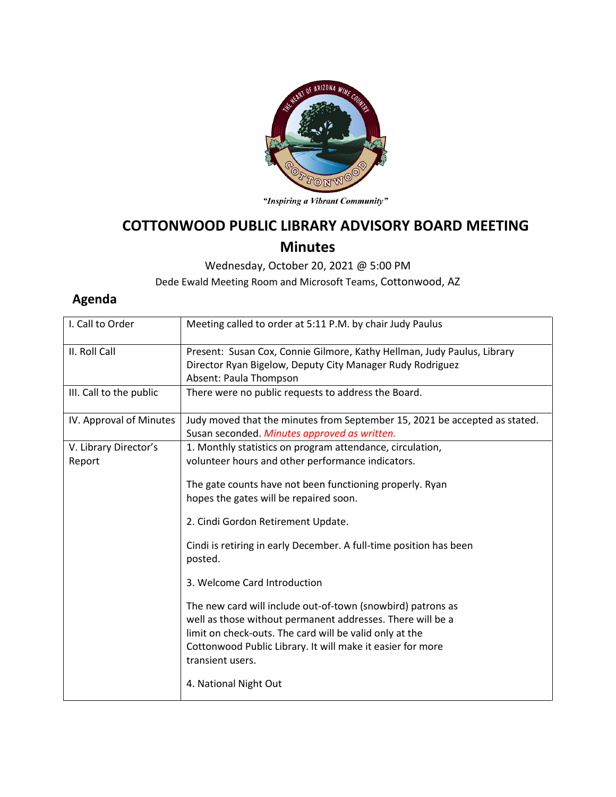

"Inspiring a Vibrant Community"

## **COTTONWOOD PUBLIC LIBRARY ADVISORY BOARD MEETING Minutes**

Wednesday, October 20, 2021 @ 5:00 PM

Dede Ewald Meeting Room and Microsoft Teams, Cottonwood, AZ

## **Agenda**

| I. Call to Order                | Meeting called to order at 5:11 P.M. by chair Judy Paulus                                                                                                                                                                                                              |
|---------------------------------|------------------------------------------------------------------------------------------------------------------------------------------------------------------------------------------------------------------------------------------------------------------------|
| II. Roll Call                   | Present: Susan Cox, Connie Gilmore, Kathy Hellman, Judy Paulus, Library<br>Director Ryan Bigelow, Deputy City Manager Rudy Rodriguez<br>Absent: Paula Thompson                                                                                                         |
| III. Call to the public         | There were no public requests to address the Board.                                                                                                                                                                                                                    |
| IV. Approval of Minutes         | Judy moved that the minutes from September 15, 2021 be accepted as stated.<br>Susan seconded. Minutes approved as written.                                                                                                                                             |
| V. Library Director's<br>Report | 1. Monthly statistics on program attendance, circulation,<br>volunteer hours and other performance indicators.                                                                                                                                                         |
|                                 | The gate counts have not been functioning properly. Ryan<br>hopes the gates will be repaired soon.                                                                                                                                                                     |
|                                 | 2. Cindi Gordon Retirement Update.                                                                                                                                                                                                                                     |
|                                 | Cindi is retiring in early December. A full-time position has been<br>posted.                                                                                                                                                                                          |
|                                 | 3. Welcome Card Introduction                                                                                                                                                                                                                                           |
|                                 | The new card will include out-of-town (snowbird) patrons as<br>well as those without permanent addresses. There will be a<br>limit on check-outs. The card will be valid only at the<br>Cottonwood Public Library. It will make it easier for more<br>transient users. |
|                                 | 4. National Night Out                                                                                                                                                                                                                                                  |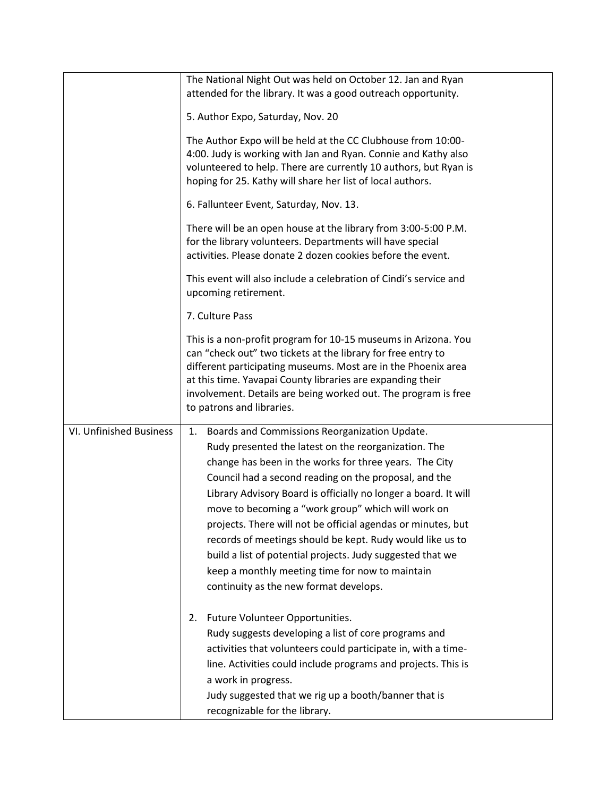|                         | The National Night Out was held on October 12. Jan and Ryan<br>attended for the library. It was a good outreach opportunity.                                                                                                                                                                                                                                                                                                                                                                                                                                                             |
|-------------------------|------------------------------------------------------------------------------------------------------------------------------------------------------------------------------------------------------------------------------------------------------------------------------------------------------------------------------------------------------------------------------------------------------------------------------------------------------------------------------------------------------------------------------------------------------------------------------------------|
|                         | 5. Author Expo, Saturday, Nov. 20                                                                                                                                                                                                                                                                                                                                                                                                                                                                                                                                                        |
|                         | The Author Expo will be held at the CC Clubhouse from 10:00-<br>4:00. Judy is working with Jan and Ryan. Connie and Kathy also<br>volunteered to help. There are currently 10 authors, but Ryan is<br>hoping for 25. Kathy will share her list of local authors.                                                                                                                                                                                                                                                                                                                         |
|                         | 6. Fallunteer Event, Saturday, Nov. 13.                                                                                                                                                                                                                                                                                                                                                                                                                                                                                                                                                  |
|                         | There will be an open house at the library from 3:00-5:00 P.M.<br>for the library volunteers. Departments will have special<br>activities. Please donate 2 dozen cookies before the event.                                                                                                                                                                                                                                                                                                                                                                                               |
|                         | This event will also include a celebration of Cindi's service and<br>upcoming retirement.                                                                                                                                                                                                                                                                                                                                                                                                                                                                                                |
|                         | 7. Culture Pass                                                                                                                                                                                                                                                                                                                                                                                                                                                                                                                                                                          |
|                         | This is a non-profit program for 10-15 museums in Arizona. You<br>can "check out" two tickets at the library for free entry to<br>different participating museums. Most are in the Phoenix area<br>at this time. Yavapai County libraries are expanding their<br>involvement. Details are being worked out. The program is free<br>to patrons and libraries.                                                                                                                                                                                                                             |
| VI. Unfinished Business | Boards and Commissions Reorganization Update.<br>1.                                                                                                                                                                                                                                                                                                                                                                                                                                                                                                                                      |
|                         | Rudy presented the latest on the reorganization. The<br>change has been in the works for three years. The City<br>Council had a second reading on the proposal, and the<br>Library Advisory Board is officially no longer a board. It will<br>move to becoming a "work group" which will work on<br>projects. There will not be official agendas or minutes, but<br>records of meetings should be kept. Rudy would like us to<br>build a list of potential projects. Judy suggested that we<br>keep a monthly meeting time for now to maintain<br>continuity as the new format develops. |
|                         | Future Volunteer Opportunities.<br>2.<br>Rudy suggests developing a list of core programs and<br>activities that volunteers could participate in, with a time-<br>line. Activities could include programs and projects. This is<br>a work in progress.<br>Judy suggested that we rig up a booth/banner that is<br>recognizable for the library.                                                                                                                                                                                                                                          |